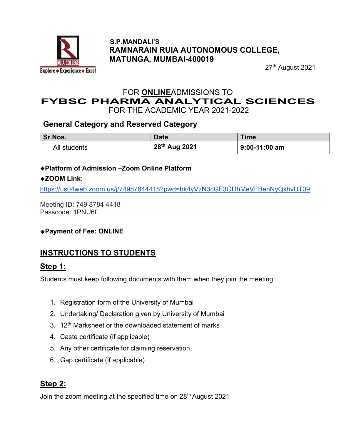

#### S.P.MANDALI'S RAMNARAIN RUIA AUTONOMOUS COLLEGE, MATUNGA, MUMBAI-400019

27<sup>th</sup> August 2021

# FOR ONLINEADMISSIONS TO FYBSC PHARMA ANALYTICAL SCIENCES

FOR THE ACADEMIC YEAR 2021-2022

### General Category and Reserved Category

| Sr.Nos.      | <b>Date</b>   | <b>Time</b>     |
|--------------|---------------|-----------------|
| All students | 28th Aug 2021 | $9:00-11:00$ am |

#### Platform of Admission –Zoom Online Platform

### ◆ZOOM Link:

https://us04web.zoom.us/j/74987844418?pwd=bk4yVzN3cGF3ODhMeVFBenNyQkhvUT09

Meeting ID: 749 8784 4418 Passcode: 1PNU6f

### Payment of Fee: ONLINE

# INSTRUCTIONS TO STUDENTS

### Step 1:

Students must keep following documents with them when they join the meeting:

- 1. Registration form of the University of Mumbai
- 2. Undertaking/ Declaration given by University of Mumbai
- 3. 12<sup>th</sup> Marksheet or the downloaded statement of marks
- 4. Caste certificate (if applicable)
- 5. Any other certificate for claiming reservation.
- 6. Gap certificate (if applicable)

# Step 2:

Join the zoom meeting at the specified time on 28<sup>th</sup> August 2021